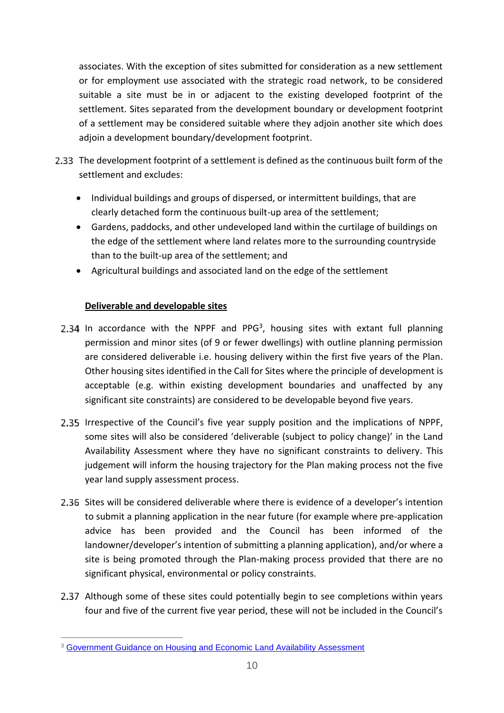associates. With the exception of sites submitted for consideration as a new settlement or for employment use associated with the strategic road network, to be considered suitable a site must be in or adjacent to the existing developed footprint of the settlement. Sites separated from the development boundary or development footprint of a settlement may be considered suitable where they adjoin another site which does adjoin a development boundary/development footprint.

- The development footprint of a settlement is defined as the continuous built form of the settlement and excludes:
	- Individual buildings and groups of dispersed, or intermittent buildings, that are clearly detached form the continuous built-up area of the settlement;
	- Gardens, paddocks, and other undeveloped land within the curtilage of buildings on the edge of the settlement where land relates more to the surrounding countryside than to the built-up area of the settlement; and
	- Agricultural buildings and associated land on the edge of the settlement

### **Deliverable and developable sites**

- In accordance with the NPPF and PPG<sup>3</sup>, housing sites with extant full planning permission and minor sites (of 9 or fewer dwellings) with outline planning permission are considered deliverable i.e. housing delivery within the first five years of the Plan. Other housing sites identified in the Call for Sites where the principle of development is acceptable (e.g. within existing development boundaries and unaffected by any significant site constraints) are considered to be developable beyond five years.
- Irrespective of the Council's five year supply position and the implications of NPPF, some sites will also be considered 'deliverable (subject to policy change)' in the Land judgement will inform the housing trajectory for the Plan making process not the five year land supply assessment process. Availability Assessment where they have no significant constraints to delivery. This
- advice has been provided and the Council has been informed of the landowner/developer's intention of submitting a planning application), and/or where a site is being promoted through the Plan-making process provided that there are no significant physical, environmental or policy constraints. 2.36 Sites will be considered deliverable where there is evidence of a developer's intention to submit a planning application in the near future (for example where pre-application
- Although some of these sites could potentially begin to see completions within years four and five of the current five year period, these will not be included in the Council's

 $\overline{a}$ <sup>3</sup> Government Guidance on Housing and Economic Land Availability Assessment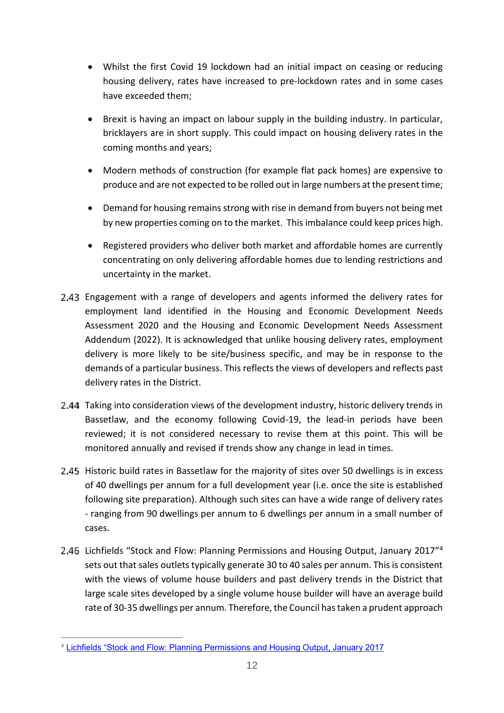- Whilst the first Covid 19 lockdown had an initial impact on ceasing or reducing housing delivery, rates have increased to pre-lockdown rates and in some cases have exceeded them;
- Brexit is having an impact on labour supply in the building industry. In particular, bricklayers are in short supply. This could impact on housing delivery rates in the coming months and years;
- Modern methods of construction (for example flat pack homes) are expensive to produce and are not expected to be rolled out in large numbers at the present time;
- Demand for housing remains strong with rise in demand from buyers not being met by new properties coming on to the market. This imbalance could keep prices high.
- Registered providers who deliver both market and affordable homes are currently concentrating on only delivering affordable homes due to lending restrictions and uncertainty in the market.
- Engagement with a range of developers and agents informed the delivery rates for employment land identified in the Housing and Economic Development Needs Addendum (2022). It is acknowledged that unlike housing delivery rates, employment delivery is more likely to be site/business specific, and may be in response to the demands of a particular business. This reflects the views of developers and reflects past delivery rates in the District. Assessment 2020 and the Housing and Economic Development Needs Assessment
- Taking into consideration views of the development industry, historic delivery trends in Bassetlaw, and the economy following Covid-19, the lead-in periods have been reviewed; it is not considered necessary to revise them at this point. This will be monitored annually and revised if trends show any change in lead in times.
- Historic build rates in Bassetlaw for the majority of sites over 50 dwellings is in excess of 40 dwellings per annum for a full development year (i.e. once the site is established following site preparation). Although such sites can have a wide range of delivery rates - ranging from 90 dwellings per annum to 6 dwellings per annum in a small number of cases.
- Lichfields "Stock and Flow: Planning Permissions and Housing Output, January 2017"<sup>4</sup> sets out that sales outlets typically generate 30 to 40 sales per annum. This is consistent with the views of volume house builders and past delivery trends in the District that large scale sites developed by a single volume house builder will have an average build rate of 30-35 dwellings per annum. Therefore, the Council has taken a prudent approach

 $\overline{a}$ 4 [Lichfields "Stock and Flow: Planning Permissions and Housing Output, January 2017](https://lichfields.uk/media/2517/stock-and-flow-planning-permissions-and-housing-output.pdf)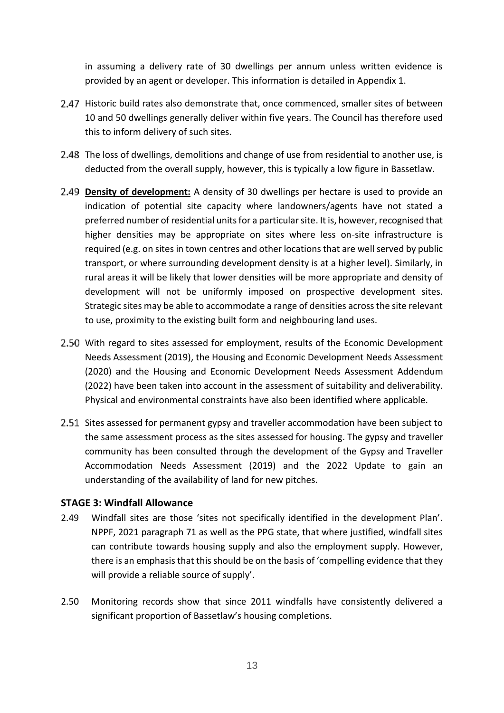in assuming a delivery rate of 30 dwellings per annum unless written evidence is provided by an agent or developer. This information is detailed in Appendix 1.

- Historic build rates also demonstrate that, once commenced, smaller sites of between 10 and 50 dwellings generally deliver within five years. The Council has therefore used this to inform delivery of such sites.
- The loss of dwellings, demolitions and change of use from residential to another use, is deducted from the overall supply, however, this is typically a low figure in Bassetlaw.
- **Density of development:** A density of 30 dwellings per hectare is used to provide an indication of potential site capacity where landowners/agents have not stated a preferred number of residential units for a particular site. It is, however, recognised that higher densities may be appropriate on sites where less on-site infrastructure is required (e.g. on sites in town centres and other locations that are well served by public transport, or where surrounding development density is at a higher level). Similarly, in rural areas it will be likely that lower densities will be more appropriate and density of development will not be uniformly imposed on prospective development sites. Strategic sites may be able to accommodate a range of densities across the site relevant to use, proximity to the existing built form and neighbouring land uses.
- With regard to sites assessed for employment, results of the Economic Development (2020) and the Housing and Economic Development Needs Assessment Addendum (2022) have been taken into account in the assessment of suitability and deliverability. Physical and environmental constraints have also been identified where applicable. Needs Assessment (2019), the Housing and Economic Development Needs Assessment
- Sites assessed for permanent gypsy and traveller accommodation have been subject to the same assessment process as the sites assessed for housing. The gypsy and traveller community has been consulted through the development of the Gypsy and Traveller Accommodation Needs Assessment (2019) and the 2022 Update to gain an understanding of the availability of land for new pitches.

#### **STAGE 3: Windfall Allowance**

- 2.49 Windfall sites are those 'sites not specifically identified in the development Plan'. NPPF, 2021 paragraph 71 as well as the PPG state, that where justified, windfall sites can contribute towards housing supply and also the employment supply. However, there is an emphasis that this should be on the basis of 'compelling evidence that they will provide a reliable source of supply'.
- 2.50 Monitoring records show that since 2011 windfalls have consistently delivered a significant proportion of Bassetlaw's housing completions.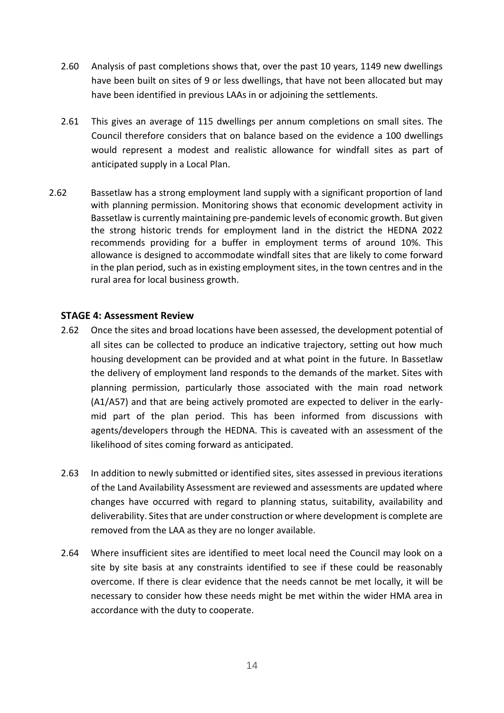- 2.60 Analysis of past completions shows that, over the past 10 years, 1149 new dwellings have been built on sites of 9 or less dwellings, that have not been allocated but may have been identified in previous LAAs in or adjoining the settlements.
- 2.61 This gives an average of 115 dwellings per annum completions on small sites. The Council therefore considers that on balance based on the evidence a 100 dwellings would represent a modest and realistic allowance for windfall sites as part of anticipated supply in a Local Plan.
- 2.62 Bassetlaw has a strong employment land supply with a significant proportion of land with planning permission. Monitoring shows that economic development activity in Bassetlaw is currently maintaining pre-pandemic levels of economic growth. But given the strong historic trends for employment land in the district the HEDNA 2022 recommends providing for a buffer in employment terms of around 10%. This allowance is designed to accommodate windfall sites that are likely to come forward in the plan period, such as in existing employment sites, in the town centres and in the rural area for local business growth.

#### **STAGE 4: Assessment Review**

- 2.62 Once the sites and broad locations have been assessed, the development potential of all sites can be collected to produce an indicative trajectory, setting out how much housing development can be provided and at what point in the future. In Bassetlaw the delivery of employment land responds to the demands of the market. Sites with planning permission, particularly those associated with the main road network (A1/A57) and that are being actively promoted are expected to deliver in the early- mid part of the plan period. This has been informed from discussions with agents/developers through the HEDNA. This is caveated with an assessment of the likelihood of sites coming forward as anticipated.
- 2.63 In addition to newly submitted or identified sites, sites assessed in previous iterations of the Land Availability Assessment are reviewed and assessments are updated where changes have occurred with regard to planning status, suitability, availability and deliverability. Sites that are under construction or where development is complete are removed from the LAA as they are no longer available.
- 2.64 Where insufficient sites are identified to meet local need the Council may look on a site by site basis at any constraints identified to see if these could be reasonably overcome. If there is clear evidence that the needs cannot be met locally, it will be necessary to consider how these needs might be met within the wider HMA area in accordance with the duty to cooperate.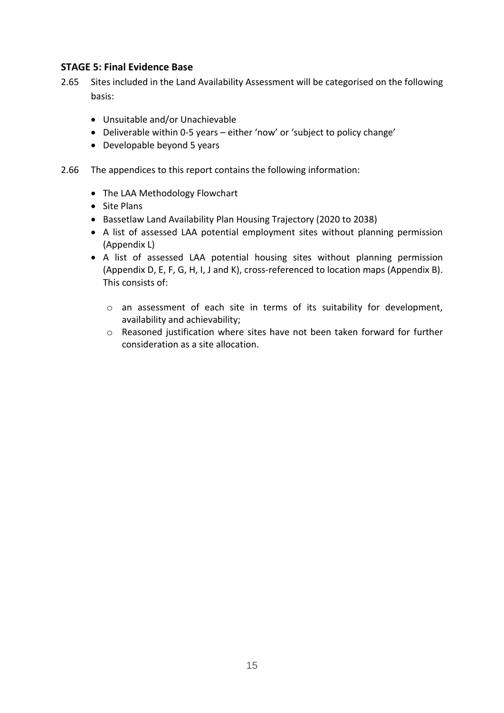### **STAGE 5: Final Evidence Base**

- 2.65 Sites included in the Land Availability Assessment will be categorised on the following basis:
	- Unsuitable and/or Unachievable
	- Deliverable within 0-5 years either 'now' or 'subject to policy change'
	- Developable beyond 5 years
- 2.66 The appendices to this report contains the following information:
	- The LAA Methodology Flowchart
	- Site Plans
	- Bassetlaw Land Availability Plan Housing Trajectory (2020 to 2038)
	- A list of assessed LAA potential employment sites without planning permission (Appendix L)
	- A list of assessed LAA potential housing sites without planning permission (Appendix D, E, F, G, H, I, J and K), cross-referenced to location maps (Appendix B). This consists of:
		- o an assessment of each site in terms of its suitability for development, availability and achievability;
		- o Reasoned justification where sites have not been taken forward for further consideration as a site allocation.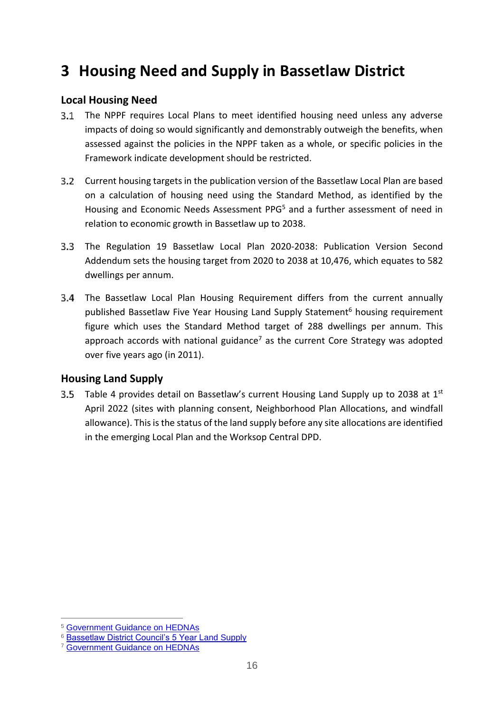# **3 Housing Need and Supply in Bassetlaw District**

### **Local Housing Need**

- $3.1$  The NPPF requires Local Plans to meet identified housing need unless any adverse impacts of doing so would significantly and demonstrably outweigh the benefits, when assessed against the policies in the NPPF taken as a whole, or specific policies in the Framework indicate development should be restricted.
- Current housing targets in the publication version of the Bassetlaw Local Plan are based on a calculation of housing need using the Standard Method, as identified by the Housing and Economic Needs Assessment PPG<sup>5</sup> and a further assessment of need in relation to economic growth in Bassetlaw up to 2038.
- Addendum sets the housing target from 2020 to 2038 at 10,476, which equates to 582 The Regulation 19 Bassetlaw Local Plan 2020-2038: Publication Version Second dwellings per annum.
- The Bassetlaw Local Plan Housing Requirement differs from the current annually published Bassetlaw Five Year Housing Land Supply Statement<sup>6</sup> housing requirement figure which uses the Standard Method target of 288 dwellings per annum. This approach accords with national guidance<sup>7</sup> as the current Core Strategy was adopted over five years ago (in 2011).

### **Housing Land Supply**

 April 2022 (sites with planning consent, Neighborhood Plan Allocations, and windfall allowance). This is the status of the land supply before any site allocations are identified in the emerging Local Plan and the Worksop Central DPD. 3.5 Table 4 provides detail on Bassetlaw's current Housing Land Supply up to 2038 at  $1^{st}$ 

 $\overline{a}$ 5 [Government Guidance on HEDNAs](https://www.gov.uk/guidance/housing-and-economic-development-needs-assessments) 

<sup>&</sup>lt;sup>6</sup> [Bassetlaw District Council's 5 Year Land Supply](http://www.bassetlaw.gov.uk/everything-else/planning-building/planning-policy/planning-policy-monitoring-research/five-year-housing-land-supply-statement.aspx) 7 Government Guidance on HEDNAs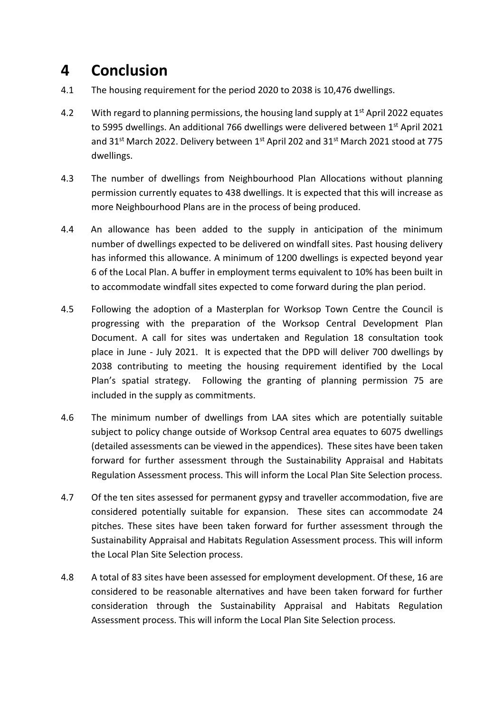## **4 Conclusion**

- 4.1 The housing requirement for the period 2020 to 2038 is 10,476 dwellings.
- 4.2 With regard to planning permissions, the housing land supply at  $1<sup>st</sup>$  April 2022 equates to 5995 dwellings. An additional 766 dwellings were delivered between 1<sup>st</sup> April 2021 and 31<sup>st</sup> March 2022. Delivery between 1<sup>st</sup> April 202 and 31<sup>st</sup> March 2021 stood at 775 dwellings.
- 4.3 The number of dwellings from Neighbourhood Plan Allocations without planning permission currently equates to 438 dwellings. It is expected that this will increase as more Neighbourhood Plans are in the process of being produced.
- 4.4 An allowance has been added to the supply in anticipation of the minimum number of dwellings expected to be delivered on windfall sites. Past housing delivery has informed this allowance. A minimum of 1200 dwellings is expected beyond year 6 of the Local Plan. A buffer in employment terms equivalent to 10% has been built in to accommodate windfall sites expected to come forward during the plan period.
- 4.5 Following the adoption of a Masterplan for Worksop Town Centre the Council is progressing with the preparation of the Worksop Central Development Plan place in June - July 2021. It is expected that the DPD will deliver 700 dwellings by Plan's spatial strategy. Following the granting of planning permission 75 are included in the supply as commitments. Document. A call for sites was undertaken and Regulation 18 consultation took 2038 contributing to meeting the housing requirement identified by the Local
- 4.6 The minimum number of dwellings from LAA sites which are potentially suitable subject to policy change outside of Worksop Central area equates to 6075 dwellings (detailed assessments can be viewed in the appendices). These sites have been taken forward for further assessment through the Sustainability Appraisal and Habitats Regulation Assessment process. This will inform the Local Plan Site Selection process.
- 4.7 Of the ten sites assessed for permanent gypsy and traveller accommodation, five are considered potentially suitable for expansion. These sites can accommodate 24 pitches. These sites have been taken forward for further assessment through the Sustainability Appraisal and Habitats Regulation Assessment process. This will inform the Local Plan Site Selection process.
- 4.8 A total of 83 sites have been assessed for employment development. Of these, 16 are considered to be reasonable alternatives and have been taken forward for further consideration through the Sustainability Appraisal and Habitats Regulation Assessment process. This will inform the Local Plan Site Selection process.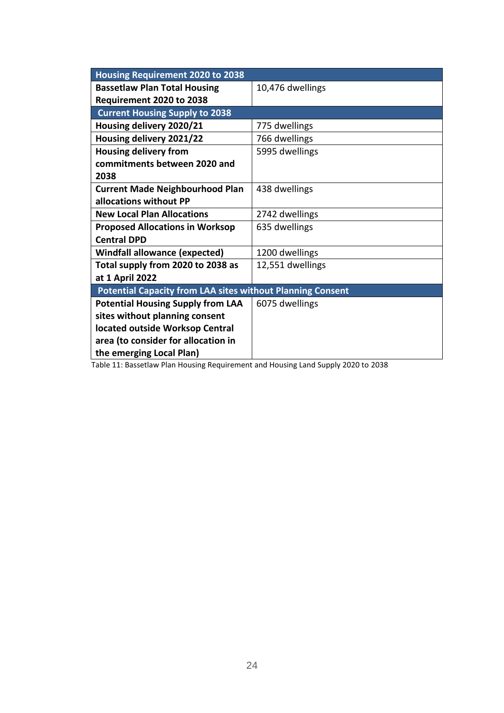| <b>Housing Requirement 2020 to 2038</b>                           |                  |
|-------------------------------------------------------------------|------------------|
| <b>Bassetlaw Plan Total Housing</b>                               | 10,476 dwellings |
| Requirement 2020 to 2038                                          |                  |
| <b>Current Housing Supply to 2038</b>                             |                  |
| Housing delivery 2020/21                                          | 775 dwellings    |
| Housing delivery 2021/22                                          | 766 dwellings    |
| <b>Housing delivery from</b>                                      | 5995 dwellings   |
| commitments between 2020 and                                      |                  |
| 2038                                                              |                  |
| <b>Current Made Neighbourhood Plan</b>                            | 438 dwellings    |
| allocations without PP                                            |                  |
| <b>New Local Plan Allocations</b>                                 | 2742 dwellings   |
| <b>Proposed Allocations in Worksop</b>                            | 635 dwellings    |
| <b>Central DPD</b>                                                |                  |
| <b>Windfall allowance (expected)</b>                              | 1200 dwellings   |
| Total supply from 2020 to 2038 as                                 | 12,551 dwellings |
| at 1 April 2022                                                   |                  |
| <b>Potential Capacity from LAA sites without Planning Consent</b> |                  |
| <b>Potential Housing Supply from LAA</b>                          | 6075 dwellings   |
| sites without planning consent                                    |                  |
| located outside Worksop Central                                   |                  |
| area (to consider for allocation in                               |                  |
| the emerging Local Plan)                                          |                  |

Table 11: Bassetlaw Plan Housing Requirement and Housing Land Supply 2020 to 2038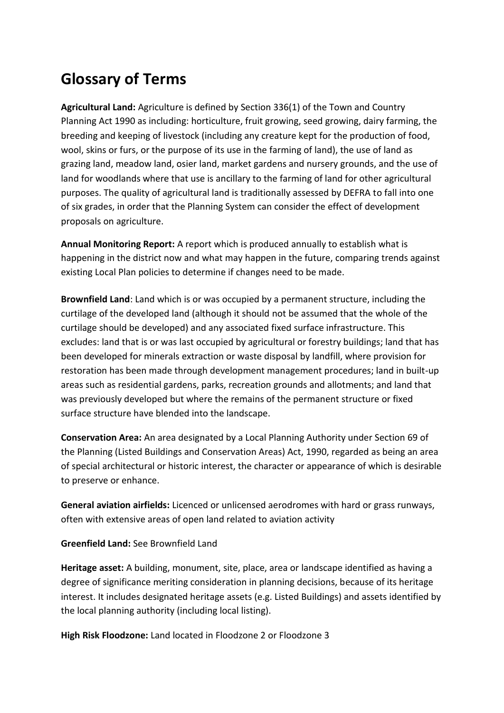# **Glossary of Terms**

 **Agricultural Land:** Agriculture is defined by Section 336(1) of the Town and Country Planning Act 1990 as including: horticulture, fruit growing, seed growing, dairy farming, the breeding and keeping of livestock (including any creature kept for the production of food, wool, skins or furs, or the purpose of its use in the farming of land), the use of land as grazing land, meadow land, osier land, market gardens and nursery grounds, and the use of land for woodlands where that use is ancillary to the farming of land for other agricultural purposes. The quality of agricultural land is traditionally assessed by DEFRA to fall into one of six grades, in order that the Planning System can consider the effect of development proposals on agriculture.

 **Annual Monitoring Report:** A report which is produced annually to establish what is happening in the district now and what may happen in the future, comparing trends against existing Local Plan policies to determine if changes need to be made.

 **Brownfield Land**: Land which is or was occupied by a permanent structure, including the curtilage of the developed land (although it should not be assumed that the whole of the curtilage should be developed) and any associated fixed surface infrastructure. This excludes: land that is or was last occupied by agricultural or forestry buildings; land that has been developed for minerals extraction or waste disposal by landfill, where provision for restoration has been made through development management procedures; land in built-up areas such as residential gardens, parks, recreation grounds and allotments; and land that was previously developed but where the remains of the permanent structure or fixed surface structure have blended into the landscape.

 **Conservation Area:** An area designated by a Local Planning Authority under Section 69 of the Planning (Listed Buildings and Conservation Areas) Act, 1990, regarded as being an area of special architectural or historic interest, the character or appearance of which is desirable to preserve or enhance.

 **General aviation airfields:** Licenced or unlicensed aerodromes with hard or grass runways, often with extensive areas of open land related to aviation activity

 **Greenfield Land:** See Brownfield Land

 **Heritage asset:** A building, monument, site, place, area or landscape identified as having a interest. It includes designated heritage assets (e.g. Listed Buildings) and assets identified by degree of significance meriting consideration in planning decisions, because of its heritage the local planning authority (including local listing).

**High Risk Floodzone:** Land located in Floodzone 2 or Floodzone 3